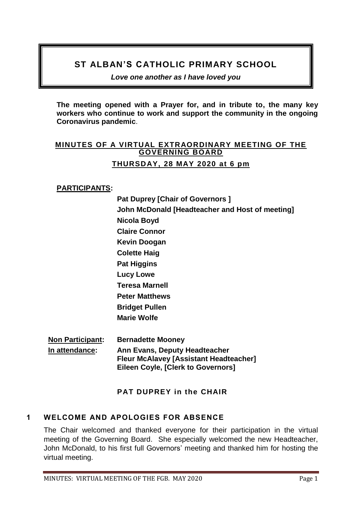# **ST ALBAN'S CATHOLIC PRIMARY SCHOOL**

*Love one another as I have loved you* 

**The meeting opened with a Prayer for, and in tribute to, the many key workers who continue to work and support the community in the ongoing Coronavirus pandemic**.

## **MINUTES OF A VIRTUAL EXTRAORDINARY MEETING OF THE GOVERNING BOARD THURSDAY, 28 MAY 2020 at 6 pm**

### **PARTICIPANTS:**

**Pat Duprey [Chair of Governors ] John McDonald [Headteacher and Host of meeting] Nicola Boyd Claire Connor Kevin Doogan Colette Haig Pat Higgins Lucy Lowe Teresa Marnell Peter Matthews Bridget Pullen Marie Wolfe Non Participant: Bernadette Mooney**

**In attendance: Ann Evans, Deputy Headteacher Fleur McAlavey [Assistant Headteacher] Eileen Coyle, [Clerk to Governors]**

# **PAT DUPREY in the CHAIR**

# **1 WELCOME AND APOLOGIES FOR ABSENCE**

The Chair welcomed and thanked everyone for their participation in the virtual meeting of the Governing Board. She especially welcomed the new Headteacher, John McDonald, to his first full Governors' meeting and thanked him for hosting the virtual meeting.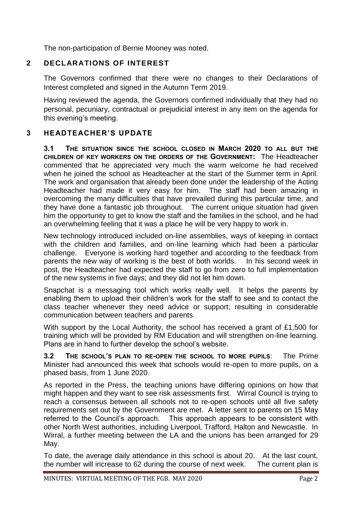The non-participation of Bernie Mooney was noted.

## **2 DECLARATIONS OF INTEREST**

The Governors confirmed that there were no changes to their Declarations of Interest completed and signed in the Autumn Term 2019.

Having reviewed the agenda, the Governors confirmed individually that they had no personal, pecuniary, contractual or prejudicial interest in any item on the agenda for this evening's meeting.

# **3 HEADTEACHER'S UPDATE**

**3.1 THE SITUATION SINCE THE SCHOOL CLOSED IN MARCH 2020 TO ALL BUT THE CHILDREN OF KEY WORKERS ON THE ORDERS OF THE GOVERNMENT:** The Headteacher commented that he appreciated very much the warm welcome he had received when he joined the school as Headteacher at the start of the Summer term in April. The work and organisation that already been done under the leadership of the Acting Headteacher had made it very easy for him. The staff had been amazing in overcoming the many difficulties that have prevailed during this particular time, and they have done a fantastic job throughout. The current unique situation had given him the opportunity to get to know the staff and the families in the school, and he had an overwhelming feeling that it was a place he will be very happy to work in.

New technology introduced included on-line assemblies, ways of keeping in contact with the children and families, and on-line learning which had been a particular challenge. Everyone is working hard together and according to the feedback from parents the new way of working is the best of both worlds. In his second week in post, the Headteacher had expected the staff to go from zero to full implementation of the new systems in five days; and they did not let him down.

Snapchat is a messaging tool which works really well. It helps the parents by enabling them to upload their children's work for the staff to see and to contact the class teacher whenever they need advice or support; resulting in considerable communication between teachers and parents.

With support by the Local Authority, the school has received a grant of £1,500 for training which will be provided by RM Education and will strengthen on-line learning. Plans are in hand to further develop the school's website.

**3.2 THE SCHOOL'S PLAN TO RE-OPEN THE SCHOOL TO MORE PUPILS**: The Prime Minister had announced this week that schools would re-open to more pupils, on a phased basis, from 1 June 2020.

As reported in the Press, the teaching unions have differing opinions on how that might happen and they want to see risk assessments first. Wirral Council is trying to reach a consensus between all schools not to re-open schools until all five safety requirements set out by the Government are met. A letter sent to parents on 15 May referred to the Council's approach. This approach appears to be consistent with other North West authorities, including Liverpool, Trafford, Halton and Newcastle. In Wirral, a further meeting between the LA and the unions has been arranged for 29 May.

To date, the average daily attendance in this school is about 20. At the last count, the number will increase to 62 during the course of next week. The current plan is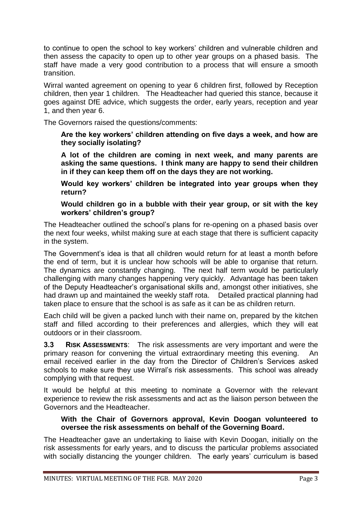to continue to open the school to key workers' children and vulnerable children and then assess the capacity to open up to other year groups on a phased basis. The staff have made a very good contribution to a process that will ensure a smooth transition.

Wirral wanted agreement on opening to year 6 children first, followed by Reception children, then year 1 children. The Headteacher had queried this stance, because it goes against DfE advice, which suggests the order, early years, reception and year 1, and then year 6.

The Governors raised the questions/comments:

**Are the key workers' children attending on five days a week, and how are they socially isolating?**

**A lot of the children are coming in next week, and many parents are asking the same questions. I think many are happy to send their children in if they can keep them off on the days they are not working.** 

**Would key workers' children be integrated into year groups when they return?** 

**Would children go in a bubble with their year group, or sit with the key workers' children's group?** 

The Headteacher outlined the school's plans for re-opening on a phased basis over the next four weeks, whilst making sure at each stage that there is sufficient capacity in the system.

The Government's idea is that all children would return for at least a month before the end of term, but it is unclear how schools will be able to organise that return. The dynamics are constantly changing. The next half term would be particularly challenging with many changes happening very quickly. Advantage has been taken of the Deputy Headteacher's organisational skills and, amongst other initiatives, she had drawn up and maintained the weekly staff rota. Detailed practical planning had taken place to ensure that the school is as safe as it can be as children return.

Each child will be given a packed lunch with their name on, prepared by the kitchen staff and filled according to their preferences and allergies, which they will eat outdoors or in their classroom.

**3.3 RISK ASSESSMENTS**: The risk assessments are very important and were the primary reason for convening the virtual extraordinary meeting this evening. An email received earlier in the day from the Director of Children's Services asked schools to make sure they use Wirral's risk assessments. This school was already complying with that request.

It would be helpful at this meeting to nominate a Governor with the relevant experience to review the risk assessments and act as the liaison person between the Governors and the Headteacher.

#### **With the Chair of Governors approval, Kevin Doogan volunteered to oversee the risk assessments on behalf of the Governing Board.**

The Headteacher gave an undertaking to liaise with Kevin Doogan, initially on the risk assessments for early years, and to discuss the particular problems associated with socially distancing the younger children. The early years' curriculum is based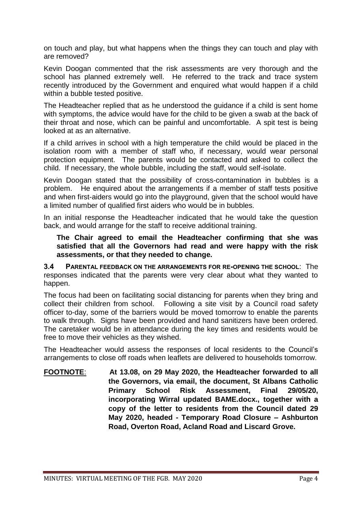on touch and play, but what happens when the things they can touch and play with are removed?

Kevin Doogan commented that the risk assessments are very thorough and the school has planned extremely well. He referred to the track and trace system recently introduced by the Government and enquired what would happen if a child within a bubble tested positive.

The Headteacher replied that as he understood the guidance if a child is sent home with symptoms, the advice would have for the child to be given a swab at the back of their throat and nose, which can be painful and uncomfortable. A spit test is being looked at as an alternative.

If a child arrives in school with a high temperature the child would be placed in the isolation room with a member of staff who, if necessary, would wear personal protection equipment. The parents would be contacted and asked to collect the child. If necessary, the whole bubble, including the staff, would self-isolate.

Kevin Doogan stated that the possibility of cross-contamination in bubbles is a problem. He enquired about the arrangements if a member of staff tests positive and when first-aiders would go into the playground, given that the school would have a limited number of qualified first aiders who would be in bubbles.

In an initial response the Headteacher indicated that he would take the question back, and would arrange for the staff to receive additional training.

**The Chair agreed to email the Headteacher confirming that she was satisfied that all the Governors had read and were happy with the risk assessments, or that they needed to change.** 

**3.4 PARENTAL FEEDBACK ON THE ARRANGEMENTS FOR RE-OPENING THE SCHOOL**: The responses indicated that the parents were very clear about what they wanted to happen.

The focus had been on facilitating social distancing for parents when they bring and collect their children from school. Following a site visit by a Council road safety officer to-day, some of the barriers would be moved tomorrow to enable the parents to walk through. Signs have been provided and hand sanitizers have been ordered. The caretaker would be in attendance during the key times and residents would be free to move their vehicles as they wished.

The Headteacher would assess the responses of local residents to the Council's arrangements to close off roads when leaflets are delivered to households tomorrow.

**FOOTNOTE**: **At 13.08, on 29 May 2020, the Headteacher forwarded to all the Governors, via email, the document, St Albans Catholic Primary School Risk Assessment, Final 29/05/20, incorporating Wirral updated BAME.docx., together with a copy of the letter to residents from the Council dated 29 May 2020, headed - Temporary Road Closure – Ashburton Road, Overton Road, Acland Road and Liscard Grove.**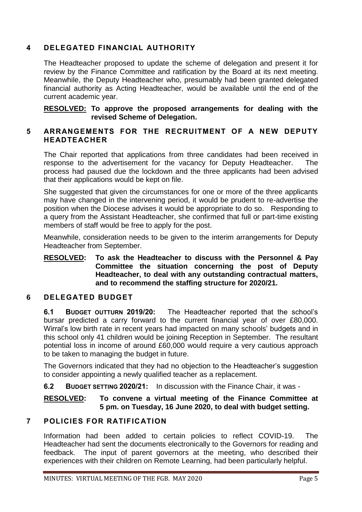### **4 DELEGATED FINANCIAL AUTHORITY**

The Headteacher proposed to update the scheme of delegation and present it for review by the Finance Committee and ratification by the Board at its next meeting. Meanwhile, the Deputy Headteacher who, presumably had been granted delegated financial authority as Acting Headteacher, would be available until the end of the current academic year.

**RESOLVED: To approve the proposed arrangements for dealing with the revised Scheme of Delegation.** 

### **5 ARRANGEMENTS FOR THE RECRUITMENT OF A NEW DEPUTY HEADTEACHER**

The Chair reported that applications from three candidates had been received in response to the advertisement for the vacancy for Deputy Headteacher. The process had paused due the lockdown and the three applicants had been advised that their applications would be kept on file.

She suggested that given the circumstances for one or more of the three applicants may have changed in the intervening period, it would be prudent to re-advertise the position when the Diocese advises it would be appropriate to do so. Responding to a query from the Assistant Headteacher, she confirmed that full or part-time existing members of staff would be free to apply for the post.

Meanwhile, consideration needs to be given to the interim arrangements for Deputy Headteacher from September.

#### **RESOLVED: To ask the Headteacher to discuss with the Personnel & Pay Committee the situation concerning the post of Deputy Headteacher, to deal with any outstanding contractual matters, and to recommend the staffing structure for 2020/21.**

#### **6 DELEGATED BUDGET**

**6.1 BUDGET OUTTURN 2019/20:** The Headteacher reported that the school's bursar predicted a carry forward to the current financial year of over £80,000. Wirral's low birth rate in recent years had impacted on many schools' budgets and in this school only 41 children would be joining Reception in September. The resultant potential loss in income of around £60,000 would require a very cautious approach to be taken to managing the budget in future.

The Governors indicated that they had no objection to the Headteacher's suggestion to consider appointing a newly qualified teacher as a replacement.

**6.2 BUDGET SETTING 2020/21:** In discussion with the Finance Chair, it was -

**RESOLVED: To convene a virtual meeting of the Finance Committee at 5 pm. on Tuesday, 16 June 2020, to deal with budget setting.**

## **7 POLICIES FOR RATIFICATION**

Information had been added to certain policies to reflect COVID-19. The Headteacher had sent the documents electronically to the Governors for reading and feedback. The input of parent governors at the meeting, who described their experiences with their children on Remote Learning, had been particularly helpful.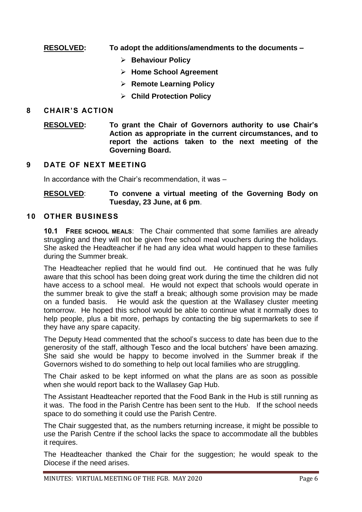### **RESOLVED: To adopt the additions/amendments to the documents –**

- **Behaviour Policy**
- **Home School Agreement**
- **Remote Learning Policy**
- **Child Protection Policy**

#### **8 CHAIR'S ACTION**

**RESOLVED: To grant the Chair of Governors authority to use Chair's Action as appropriate in the current circumstances, and to report the actions taken to the next meeting of the Governing Board.** 

#### **9 DATE OF NEXT MEETING**

In accordance with the Chair's recommendation, it was –

#### **RESOLVED**: **To convene a virtual meeting of the Governing Body on Tuesday, 23 June, at 6 pm**.

#### **10 OTHER BUSINESS**

**10.1 FREE SCHOOL MEALS**: The Chair commented that some families are already struggling and they will not be given free school meal vouchers during the holidays. She asked the Headteacher if he had any idea what would happen to these families during the Summer break.

The Headteacher replied that he would find out. He continued that he was fully aware that this school has been doing great work during the time the children did not have access to a school meal. He would not expect that schools would operate in the summer break to give the staff a break; although some provision may be made on a funded basis. He would ask the question at the Wallasey cluster meeting tomorrow. He hoped this school would be able to continue what it normally does to help people, plus a bit more, perhaps by contacting the big supermarkets to see if they have any spare capacity.

The Deputy Head commented that the school's success to date has been due to the generosity of the staff, although Tesco and the local butchers' have been amazing. She said she would be happy to become involved in the Summer break if the Governors wished to do something to help out local families who are struggling.

The Chair asked to be kept informed on what the plans are as soon as possible when she would report back to the Wallasey Gap Hub.

The Assistant Headteacher reported that the Food Bank in the Hub is still running as it was. The food in the Parish Centre has been sent to the Hub. If the school needs space to do something it could use the Parish Centre.

The Chair suggested that, as the numbers returning increase, it might be possible to use the Parish Centre if the school lacks the space to accommodate all the bubbles it requires.

The Headteacher thanked the Chair for the suggestion; he would speak to the Diocese if the need arises.